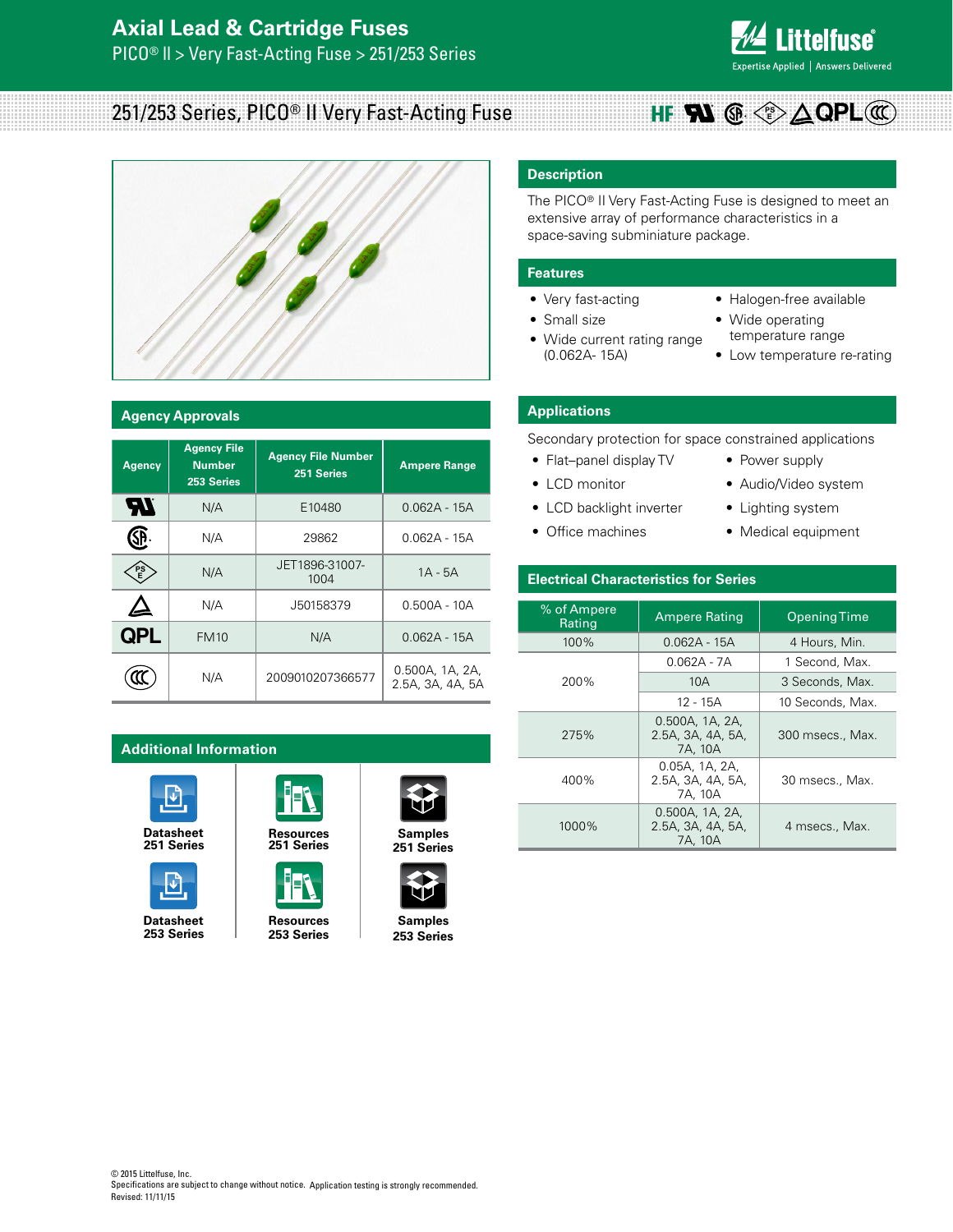

#### 251/253 Series, PICO® II Very Fast-Acting Fuse **PS E QPL**



#### **Agency Approvals**

| <b>Agency</b> | <b>Agency File</b><br><b>Number</b><br>253 Series | <b>Agency File Number</b><br>251 Series | <b>Ampere Range</b>                 |
|---------------|---------------------------------------------------|-----------------------------------------|-------------------------------------|
| Яľ            | N/A                                               | E10480                                  | $0.062A - 15A$                      |
| ŞP            | N/A                                               | 29862                                   | 0.062A - 15A                        |
| PS<br>E       | N/A                                               | JET1896-31007-<br>1004                  | $1A - 5A$                           |
|               | N/A                                               | J50158379                               | $0.500A - 10A$                      |
| <b>QPL</b>    | <b>FM10</b>                                       | N/A                                     | $0.062A - 15A$                      |
|               | N/A                                               | 2009010207366577                        | 0.500A, 1A, 2A,<br>2.5A, 3A, 4A, 5A |

# **Additional Information**



**[251 Series](http://www.littelfuse.com/~/media/electronics/datasheets/fuses/littelfuse_fuse_251_253_datasheet.pdf.pdf)**



**253 Series**





**Datasheet [Resources](http://www.littelfuse.com/products/fuses/military-high-reliability-fuses/high-reliability-and-military-fuses/253.aspx#TechnicalResources) Samples 253 Series**



**[251 Series](http://www.littelfuse.com/products/fuses/axial-radial-thru-hole-fuses/pico-fuses/251.aspx#ElectricalCharacteristics)**



**[253 Series](http://www.littelfuse.com/products/fuses/military-high-reliability-fuses/high-reliability-and-military-fuses/253.aspx#ElectricalCharacteristics)**

# **Description**

The PICO® II Very Fast-Acting Fuse is designed to meet an extensive array of performance characteristics in a space-saving subminiature package.

#### **Features**

- Very fast-acting
- Small size
- Wide current rating range (0.062A- 15A)
- Halogen-free available
- Wide operating temperature range
- Low temperature re-rating

# **Applications**

Secondary protection for space constrained applications

- Flat–panel display TV
- LCD monitor
- LCD backlight inverter
- Office machines
- Power supply
- Audio/Video system
- Lighting system
- Medical equipment

# **Electrical Characteristics for Series**

| % of Ampere<br>Rating | <b>Ampere Rating</b>                            | <b>Opening Time</b> |  |  |  |
|-----------------------|-------------------------------------------------|---------------------|--|--|--|
| $100\%$               | $0.062A - 15A$                                  | 4 Hours, Min.       |  |  |  |
|                       | 0.062A - 7A                                     | 1 Second, Max.      |  |  |  |
| 200%                  | 10A                                             | 3 Seconds, Max.     |  |  |  |
|                       | 12 - 15A                                        | 10 Seconds, Max.    |  |  |  |
| 275%                  | 0.500A, 1A, 2A,<br>2.5A, 3A, 4A, 5A,<br>7A, 10A | 300 msecs., Max.    |  |  |  |
| 400%                  | 0.05A, 1A, 2A,<br>2.5A, 3A, 4A, 5A,<br>7A. 10A  | 30 msecs., Max.     |  |  |  |
| 1000%                 | 0.500A, 1A, 2A,<br>2.5A, 3A, 4A, 5A,<br>7A, 10A | 4 msecs., Max.      |  |  |  |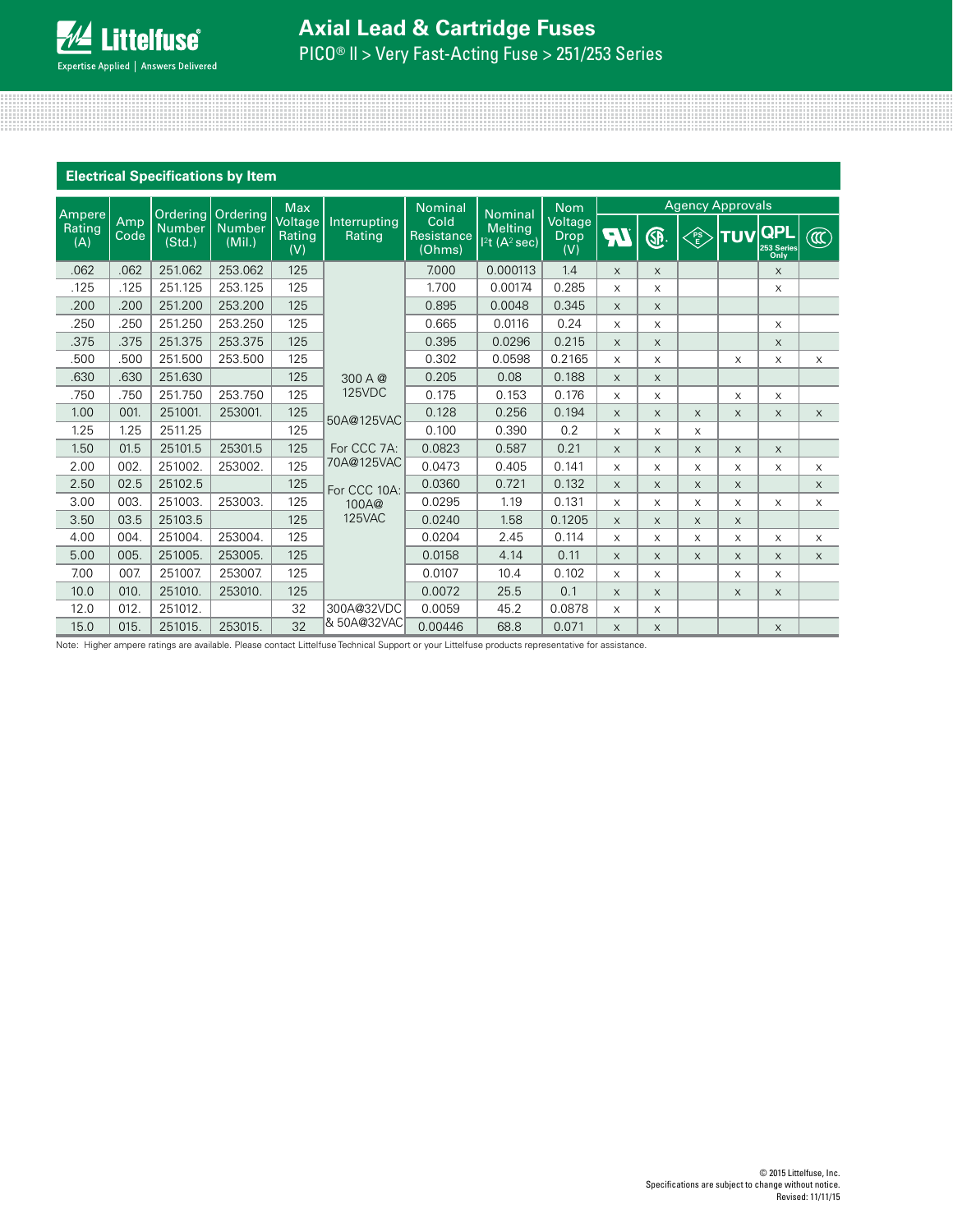| <b>Electrical Specifications by Item</b> |             |                         |                                              |                                 |                        |                              |                                                       |                               |                         |              |          |            |                                  |                        |
|------------------------------------------|-------------|-------------------------|----------------------------------------------|---------------------------------|------------------------|------------------------------|-------------------------------------------------------|-------------------------------|-------------------------|--------------|----------|------------|----------------------------------|------------------------|
|                                          |             |                         |                                              | <b>Max</b>                      |                        | <b>Nominal</b>               |                                                       | <b>Nom</b>                    | <b>Agency Approvals</b> |              |          |            |                                  |                        |
| Ampere<br>Rating<br>(A)                  | Amp<br>Code | <b>Number</b><br>(Std.) | Ordering Ordering<br><b>Number</b><br>(Mil.) | Voltage<br><b>Rating</b><br>(V) | Interrupting<br>Rating | Cold<br>Resistance<br>(Ohms) | <b>Nominal</b><br><b>Melting</b><br>$12t$ $(A^2$ sec) | Voltage<br><b>Drop</b><br>(V) | न्।                     | ®.           | FS<br>E  | <b>TUV</b> | <b>QPL</b><br>253 Series<br>Only | $\widehat{\mathbb{C}}$ |
| .062                                     | .062        | 251.062                 | 253.062                                      | 125                             |                        | 7.000                        | 0.000113                                              | 1.4                           | $\times$                | X            |          |            | X                                |                        |
| .125                                     | .125        | 251.125                 | 253.125                                      | 125                             |                        | 1.700                        | 0.00174                                               | 0.285                         | X                       | X            |          |            | X                                |                        |
| .200                                     | .200        | 251.200                 | 253.200                                      | 125                             |                        | 0.895                        | 0.0048                                                | 0.345                         | $\times$                | X            |          |            |                                  |                        |
| .250                                     | .250        | 251.250                 | 253.250                                      | 125                             |                        | 0.665                        | 0.0116                                                | 0.24                          | X                       | X            |          |            | X                                |                        |
| .375                                     | .375        | 251.375                 | 253.375                                      | 125                             |                        | 0.395                        | 0.0296                                                | 0.215                         | $\times$                | $\times$     |          |            | X                                |                        |
| .500                                     | .500        | 251.500                 | 253.500                                      | 125                             |                        | 0.302                        | 0.0598                                                | 0.2165                        | X                       | X            |          | $\times$   | X                                | $\mathsf X$            |
| .630                                     | .630        | 251.630                 |                                              | 125                             | 300 A @                | 0.205                        | 0.08                                                  | 0.188                         | $\times$                | X            |          |            |                                  |                        |
| .750                                     | .750        | 251.750                 | 253.750                                      | 125                             | <b>125VDC</b>          | 0.175                        | 0.153                                                 | 0.176                         | X                       | X            |          | X          | X                                |                        |
| 1.00                                     | 001.        | 251001.                 | 253001.                                      | 125                             | 50A@125VAC             | 0.128                        | 0.256                                                 | 0.194                         | $\times$                | $\mathsf{X}$ | $\times$ | $\times$   | $\times$                         | $\times$               |
| 1.25                                     | 1.25        | 2511.25                 |                                              | 125                             |                        | 0.100                        | 0.390                                                 | 0.2                           | $\times$                | X            | $\times$ |            |                                  |                        |
| 1.50                                     | 01.5        | 25101.5                 | 25301.5                                      | 125                             | For CCC 7A:            | 0.0823                       | 0.587                                                 | 0.21                          | $\times$                | $\times$     | $\times$ | X          | $\times$                         |                        |
| 2.00                                     | 002.        | 251002.                 | 253002.                                      | 125                             | 70A@125VAC             | 0.0473                       | 0.405                                                 | 0.141                         | X                       | X            | X        | $\times$   | X                                | $\mathsf X$            |
| 2.50                                     | 02.5        | 25102.5                 |                                              | 125                             | For CCC 10A:           | 0.0360                       | 0.721                                                 | 0.132                         | $\times$                | $\mathsf{X}$ | $\times$ | $\times$   |                                  | $\times$               |
| 3.00                                     | 003.        | 251003.                 | 253003.                                      | 125                             | 100A@                  | 0.0295                       | 1.19                                                  | 0.131                         | X                       | X            | $\times$ | X          | $\times$                         | $\mathsf X$            |
| 3.50                                     | 03.5        | 25103.5                 |                                              | 125                             | 125VAC                 | 0.0240                       | 1.58                                                  | 0.1205                        | X                       | $\times$     | $\times$ | $\times$   |                                  |                        |
| 4.00                                     | 004.        | 251004.                 | 253004.                                      | 125                             |                        | 0.0204                       | 2.45                                                  | 0.114                         | X                       | X            | $\times$ | $\times$   | X                                | X                      |
| 5.00                                     | 005.        | 251005.                 | 253005.                                      | 125                             |                        | 0.0158                       | 4.14                                                  | 0.11                          | $\times$                | X            | $\times$ | $\times$   | $\times$                         | $\times$               |
| 7.00                                     | 007.        | 251007                  | 253007                                       | 125                             |                        | 0.0107                       | 10.4                                                  | 0.102                         | X                       | X            |          | $\times$   | X                                |                        |
| 10.0                                     | 010.        | 251010.                 | 253010.                                      | 125                             |                        | 0.0072                       | 25.5                                                  | 0.1                           | $\times$                | X            |          | $\times$   | $\times$                         |                        |
| 12.0                                     | 012.        | 251012.                 |                                              | 32                              | 300A@32VDC             | 0.0059                       | 45.2                                                  | 0.0878                        | $\times$                | X            |          |            |                                  |                        |
| 15.0                                     | 015.        | 251015.                 | 253015.                                      | 32                              | & 50A@32VAC            | 0.00446                      | 68.8                                                  | 0.071                         | X                       | X            |          |            | $\times$                         |                        |

Note: Higher ampere ratings are available. Please contact Littelfuse Technical Support or your Littelfuse products representative for assistance.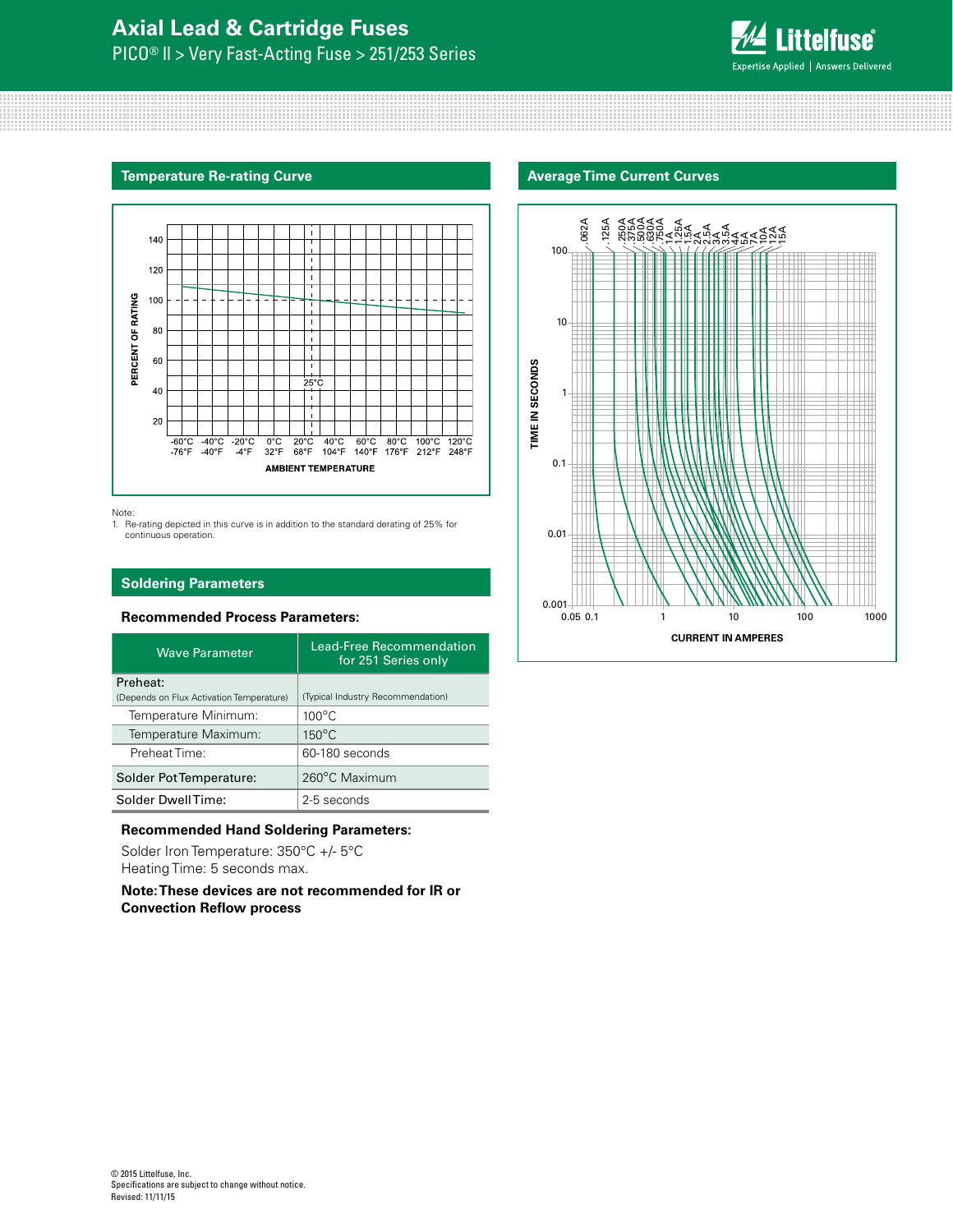

#### **Temperature Re-rating Curve**



Note:

1. Re-rating depicted in this curve is in addition to the standard derating of 25% for continuous operation.

# **Soldering Parameters**

# **Recommended Process Parameters:**

| <b>Wave Parameter</b>                    | <b>Lead-Free Recommendation</b><br>for 251 Series only |
|------------------------------------------|--------------------------------------------------------|
| Preheat:                                 |                                                        |
| (Depends on Flux Activation Temperature) | (Typical Industry Recommendation)                      |
| Temperature Minimum:                     | $100^{\circ}$ C                                        |
| Temperature Maximum:                     | $150^{\circ}$ C                                        |
| Preheat Time:                            | 60-180 seconds                                         |
| Solder Pot Temperature:                  | 260°C Maximum                                          |
| Solder DwellTime:                        | 2-5 seconds                                            |

#### **Recommended Hand Soldering Parameters:**

Solder Iron Temperature: 350°C +/- 5°C Heating Time: 5 seconds max.

**Note: These devices are not recommended for IR or Convection Reflow process**

### **Average Time Current Curves**